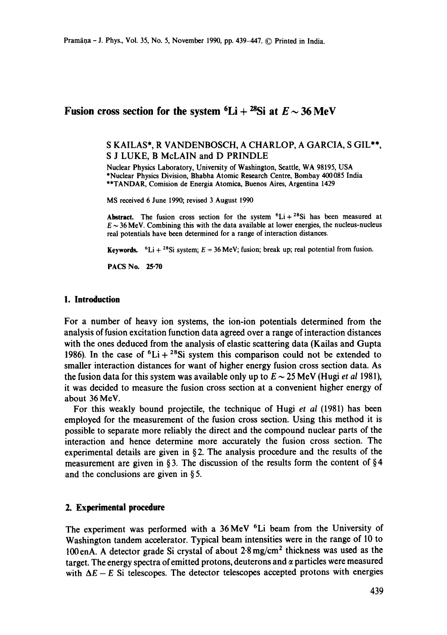# **Fusion cross section for the system**  ${}^6\text{Li} + {}^{28}\text{Si}$  **at**  $E \sim 36 \text{ MeV}$

## S KAILAS\*, R VANDENBOSCH, A CHARLOP, A GARCIA, S GIL\*\*, S J LUKE, B McLAIN and D PRINDLE

Nuclear Physics Laboratory, University of Washington, Seattle, WA 98195, USA \*Nuclear Physics Division, Bhabha Atomic Research Centre, Bombay 400085 India \*\*TANDAR, Comision de Energia Atomica, Buenos Aires, Argentina 1429

MS received 6 June 1990; revised 3 August 1990

Abstract. The fusion cross section for the system  ${}^{6}Li+{}^{28}Si$  has been measured at  $E \sim 36$  MeV. Combining this with the data available at lower energies, the nucleus-nucleus real potentials have been determined for a range of interaction distances.

**Keywords.**  ${}^{6}Li + {}^{28}Si$  system;  $E = 36$  MeV; fusion; break up; real potential from fusion.

PACS No. **25"70** 

### **1. Introduction**

For a number of heavy ion systems, the ion-ion potentials determined from the analysis of fusion excitation function data agreed over a range of interaction distances with the ones deduced from the analysis of elastic scattering data (Kailas and Gupta 1986). In the case of  ${}^{6}Li + {}^{28}Si$  system this comparison could not be extended to smaller interaction distances for want of higher energy fusion cross section data. As the fusion data for this system was available only up to  $E \sim 25$  MeV (Hugi *et al* 1981), it was decided to measure the fusion cross section at a convenient higher energy of about 36 MeV.

For this weakly bound projectile, the technique of Hugi *et al* (1981) has been employed for the measurement of the fusion cross section. Using this method it is possible to separate more reliably the direct and the compound nuclear parts of the interaction and hence determine more accurately the fusion cross section. The experimental details are given in  $\S$ 2. The analysis procedure and the results of the measurement are given in § 3. The discussion of the results form the content of § 4 and the conclusions are given in § 5.

### **2. Experimental procedure**

The experiment was performed with a 36 MeV <sup>6</sup>Li beam from the University of Washington tandem accelerator. Typical beam intensities were in the range of 10 to 100enA. A detector grade Si crystal of about 2-8mg/cm 2 thickness was used as the target. The energy spectra of emitted protons, deuterons and  $\alpha$  particles were measured with  $\Delta E - E$  Si telescopes. The detector telescopes accepted protons with energies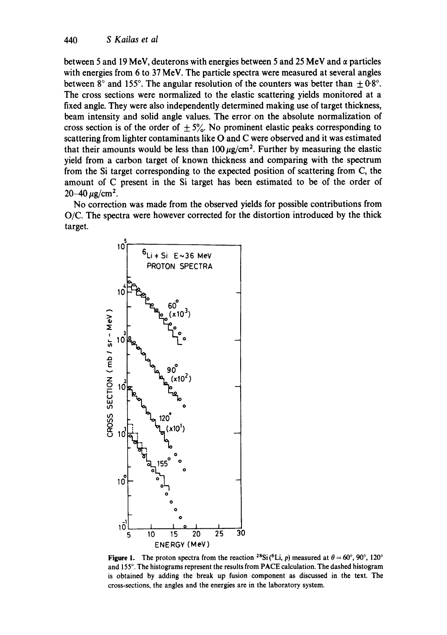between 5 and 19 MeV, deuterons with energies between 5 and 25 MeV and  $\alpha$  particles with energies from 6 to 37 MeV. The particle spectra were measured at several angles between 8° and 155°. The angular resolution of the counters was better than  $\pm 0.8$ °. The cross sections were normalized to the elastic scattering yields monitored at a fixed angle. They were also independently determined making use of target thickness, beam intensity and solid angle values. The error on the absolute normalization of cross section is of the order of  $\pm 5\%$ . No prominent elastic peaks corresponding to scattering from lighter contaminants like O and C were observed and it was estimated that their amounts would be less than  $100 \,\mu g/cm^2$ . Further by measuring the elastic yield from a carbon target of known thickness and comparing with the spectrum from the Si target corresponding to the expected position of scattering from C, the amount of C present in the Si target has been estimated to be of the order of  $20 - 40 \,\mu g/cm^2$ .

No correction was made from the observed yields for possible contributions from O/C. The spectra were however corrected for the distortion introduced by the thick target.



**Figure 1.** The proton spectra from the reaction <sup>28</sup>Si(<sup>6</sup>Li, *p*) measured at  $\theta = 60^{\circ}$ , 90°, 120° and 155°. The histograms represent the results from PACE calculation. The dashed histogram is obtained by adding the break up fusion component as discussed in the text. The cross-sections, the angles and the energies are in the laboratory system,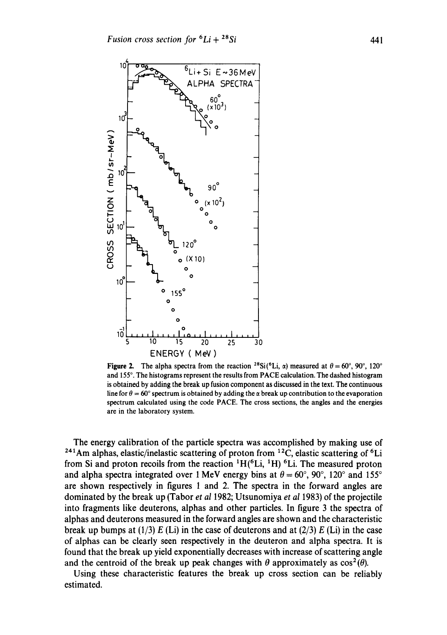

**Figure 2.** The alpha spectra from the reaction <sup>28</sup>Si(<sup>6</sup>Li,  $\alpha$ ) measured at  $\theta = 60^{\circ}$ , 90°, 120° and 155°. The histograms represent the results from PACE calculation. The dashed histogram is obtained by adding the break up fusion component as discussed in the text. The continuous line for  $\theta = 60^\circ$  spectrum is obtained by adding the  $\alpha$  break up contribution to the evaporation spectrum calculated using the code PACE. The cross sections, the angles and the energies are in the laboratory system.

The energy calibration of the particle spectra was accomplished by making use of  $241$ Am alphas, elastic/inelastic scattering of proton from  $12$ C, elastic scattering of <sup>6</sup>Li from Si and proton recoils from the reaction  ${}^{1}H(^{6}Li, {}^{1}H)^{6}Li$ . The measured proton and alpha spectra integrated over 1 MeV energy bins at  $\theta = 60^{\circ}$ , 90°, 120° and 155° are shown respectively in figures 1 and 2. The spectra in the forward angles are dominated by the break up (Tabor *et al* 1982; Utsunomiya *et al* 1983) of the projectile into fragments like deuterons, alphas and other particles. In figure 3 the spectra of alphas and deuterons measured in the forward angles are shown and the characteristic break up bumps at (1/3) E (Li) in the case of deuterons and at (2/3) E (Li) in the case of alphas can be clearly seen respectively in the deuteron and alpha spectra. It is found that the break up yield exponentially decreases with increase of scattering angle and the centroid of the break up peak changes with  $\theta$  approximately as  $\cos^2(\theta)$ .

Using these characteristic features the break up cross section can be reliably estimated.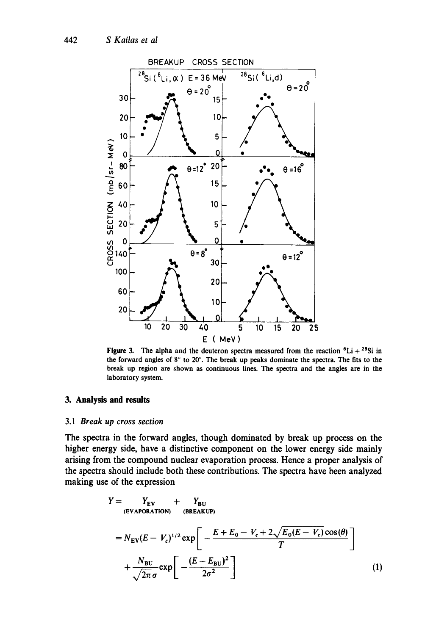

Figure 3. The alpha and the deuteron spectra measured from the reaction  ${}^{6}Li + {}^{28}Si$  in the forward angles of  $8^\circ$  to  $20^\circ$ . The break up peaks dominate the spectra. The fits to the break up region are shown as continuous lines. The spectra and the angles are in the laboratory system.

## **3. Analysis and results**

### 3.1 *Break up cross section*

The spectra in the forward angles, though dominated by break up process on the higher energy side, have a distinctive component on the lower energy side mainly arising from the compound nuclear evaporation process. Hence a proper analysis of the spectra should include both these contributions. The spectra have been analyzed making use of the expression

$$
Y = YEV + YBU
$$
  
\n
$$
= NEV(E - Vc)1/2 exp \left[ -\frac{E + E0 - Vc + 2\sqrt{E0(E - Vc)} cos(\theta)}{T} \right]
$$
  
\n
$$
+ \frac{NBU}{\sqrt{2\pi} \sigma} exp \left[ -\frac{(E - EBU)2}{2\sigma2} \right]
$$
 (1)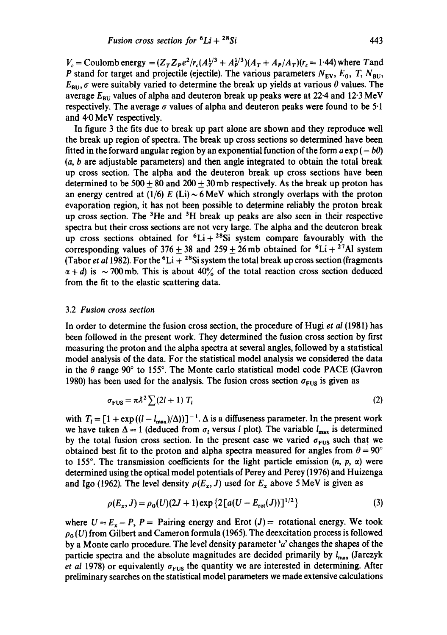$V_c$  = Coulomb energy =  $(Z_T Z_P e^2/r_c (A_T^{1/3} + A_P^{1/3})(A_T + A_P/A_T)(r_c = 1.44)$  where Tand P stand for target and projectile (ejectile). The various parameters  $N_{EV}$ ,  $E_0$ , T,  $N_{BU}$ ,  $E_{\text{BU}}$ ,  $\sigma$  were suitably varied to determine the break up yields at various  $\theta$  values. The average  $E_{BU}$  values of alpha and deuteron break up peaks were at 22.4 and 12.3 MeV respectively. The average  $\sigma$  values of alpha and deuteron peaks were found to be 5.1 and 4.0 MeV respectively.

In figure 3 the fits due to break up part alone are shown and they reproduce well the break up region of spectra. The break up cross sections so determined have been fitted in the forward angular region by an exponential function of the form  $a \exp(-b\theta)$ (a, b are adjustable parameters) and then angle integrated to obtain the total break up cross section. The alpha and the deuteron break up cross sections have been determined to be 500  $\pm$  80 and 200  $\pm$  30 mb respectively. As the break up proton has an energy centred at (1/6) E (Li) ~ 6 MeV which strongly overlaps with the proton evaporation region, it has not been possible to determine reliably the proton break up cross section. The  ${}^{3}$ He and  ${}^{3}$ H break up peaks are also seen in their respective spectra but their cross sections are not very large. The alpha and the deuteron break up cross sections obtained for  ${}^{6}Li + {}^{28}Si$  system compare favourably with the corresponding values of  $376 \pm 38$  and  $259 \pm 26$  mb obtained for  ${}^{6}Li + {}^{27}Al$  system (Tabor *et al* 1982). For the <sup>6</sup>Li + <sup>28</sup>Si system the total break up cross section (fragments  $\alpha + d$ ) is ~ 700 mb. This is about 40% of the total reaction cross section deduced from the fit to the elastic scattering data.

#### 3.2 *Fusion cross section*

In order to determine the fusion cross section, the procedure of Hugi *et ai* (1981) has been followed in the present work. They determined the fusion cross section by first measuring the proton and the alpha spectra at several angles, followed by a statistical model analysis of the data. For the statistical model analysis we considered the data in the  $\theta$  range 90° to 155°. The Monte carlo statistical model code PACE (Gavron 1980) has been used for the analysis. The fusion cross section  $\sigma_{\text{FUS}}$  is given as

$$
\sigma_{\text{FUS}} = \pi \lambda^2 \sum (2l+1) T_l \tag{2}
$$

with  $T_i = [1 + \exp((l - l_{max})/\Delta))]^{-1}$ .  $\Delta$  is a diffuseness parameter. In the present work we have taken  $\Delta = 1$  (deduced from  $\sigma_l$  versus *l* plot). The variable  $I_{\text{max}}$  is determined by the total fusion cross section. In the present case we varied  $\sigma_{\text{FUS}}$  such that we obtained best fit to the proton and alpha spectra measured for angles from  $\theta = 90^{\circ}$ to 155°. The transmission coefficients for the light particle emission  $(n, p, \alpha)$  were determined using the optical model potentials of Perey and Perey (1976) and Huizenga and Igo (1962). The level density  $\rho(E_x, J)$  used for  $E_x$  above 5 MeV is given as

$$
\rho(E_x, J) = \rho_0(U)(2J+1) \exp\left\{2\left[a(U - E_{\text{rot}}(J))\right]^{1/2}\right\} \tag{3}
$$

where  $U = E_x - P$ ,  $P =$  Pairing energy and Erot  $(J) =$  rotational energy. We took  $\rho_0(U)$  from Gilbert and Cameron formula (1965). The deexcitation process is followed by a Monte carlo procedure. The level density parameter 'a' changes the shapes of the particle spectra and the absolute magnitudes are decided primarily by  $l_{\text{max}}$  (Jarczyk *et al* 1978) or equivalently  $\sigma_{\text{FUS}}$  the quantity we are interested in determining. After preliminary searches on the statistical model parameters we made extensive calculations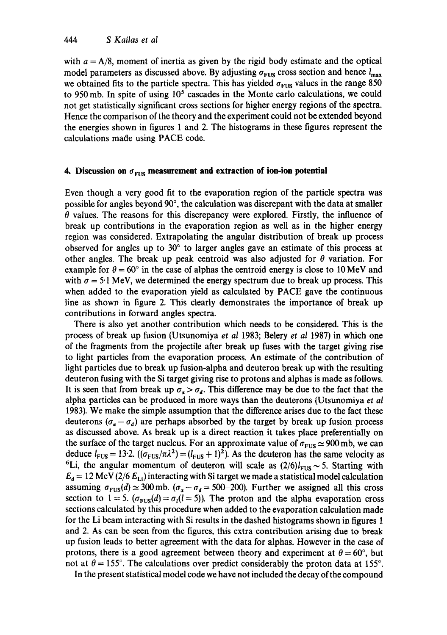with  $a = A/8$ , moment of inertia as given by the rigid body estimate and the optical model parameters as discussed above. By adjusting  $\sigma_{\text{FUS}}$  cross section and hence  $l_{\text{max}}$ we obtained fits to the particle spectra. This has yielded  $\sigma_{FUS}$  values in the range 850 to 950 mb. In spite of using  $10<sup>5</sup>$  cascades in the Monte carlo calculations, we could not get statistically significant cross sections for higher energy regions of the spectra. Hence the comparison of the theory and the experiment could not be extended beyond the energies shown in figures 1 and 2. The histograms in these figures represent the calculations made using PACE code.

### **4. Discussion on**  $\sigma_{\text{FUS}}$  **measurement and extraction of ion-ion potential**

Even though a very good fit to the evaporation region of the particle spectra was possible for angles beyond  $90^\circ$ , the calculation was discrepant with the data at smaller  $\theta$  values. The reasons for this discrepancy were explored. Firstly, the influence of break up contributions in the evaporation region as well as in the higher energy region was considered. Extrapolating the angular distribution of break up process observed for angles up to 30 ° to larger angles gave an estimate of this process at other angles. The break up peak centroid was also adjusted for  $\theta$  variation. For example for  $\theta = 60^{\circ}$  in the case of alphas the centroid energy is close to 10 MeV and with  $\sigma = 5.1$  MeV, we determined the energy spectrum due to break up process. This when added to the evaporation yield as calculated by PACE gave the continuous line as shown in figure 2. This dearly demonstrates the importance of break up contributions in forward angles spectra.

There is also yet another contribution which needs to be considered. This is the process of break up fusion (Utsunomiya *et al* 1983; Belery *et al* 1987) in which one of the fragments from the projectile after break up fuses with the target giving rise to light particles from the evaporation process. An estimate of the contribution of light particles due to break up fusion-alpha and deuteron break up with the resulting deuteron fusing with the Si target giving rise to protons and alphas is made as follows. It is seen that from break up  $\sigma_a > \sigma_d$ . This difference may be due to the fact that the alpha particles can be produced in more ways than the deuterons (Utsunomiya *et al*  1983). We make the simple assumption that the difference arises due to the fact these deuterons  $(\sigma_{\alpha} - \sigma_d)$  are perhaps absorbed by the target by break up fusion process as discussed above. As break up is a direct reaction it takes place preferentially on the surface of the target nucleus. For an approximate value of  $\sigma_{\text{FUS}} \simeq 900 \text{ mb}$ , we can deduce  $l_{\text{FUS}} = 13.2$ .  $((\sigma_{\text{FUS}}/\pi\lambda^2) = (l_{\text{FUS}} + 1)^2)$ . As the deuteron has the same velocity as <sup>6</sup>Li, the angular momentum of deuteron will scale as  $(2/6)l_{\text{FUS}} \sim 5$ . Starting with  $E_d = 12$  MeV (2/6  $E_{Li}$ ) interacting with Si target we made a statistical model calculation assuming  $\sigma_{FUS}(d) \simeq 300$  mb. ( $\sigma_a - \sigma_d = 500-200$ ). Further we assigned all this cross section to  $1 = 5$ .  $(\sigma_{FUS}(d) = \sigma_l(l = 5))$ . The proton and the alpha evaporation cross sections calculated by this procedure when added to the evaporation calculation made for the Li beam interacting with Si results in the dashed histograms shown in figures 1 and 2. As can be seen from the figures, this extra contribution arising due to break up fusion leads to better agreement with the data for alphas. However in the case of protons, there is a good agreement between theory and experiment at  $\theta = 60^{\circ}$ , but not at  $\theta = 155^{\circ}$ . The calculations over predict considerably the proton data at 155°.

In the present statistical model code we have not included the decay of the compound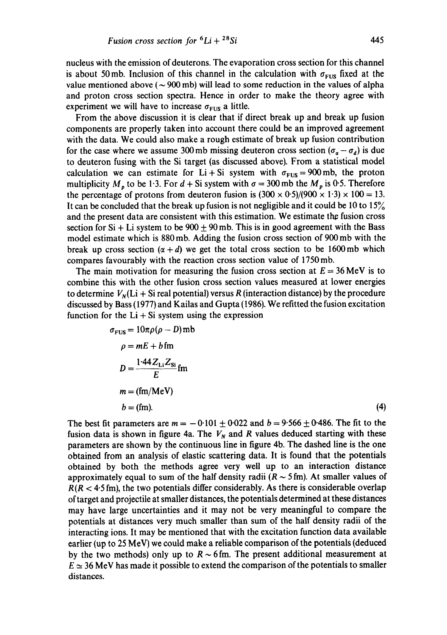nucleus with the emission of deuterons. The evaporation cross section for this channel is about 50 mb. Inclusion of this channel in the calculation with  $\sigma_{FUS}$  fixed at the value mentioned above ( $\sim$  900 mb) will lead to some reduction in the values of alpha and proton cross section spectra. Hence in order to make the theory agree with experiment we will have to increase  $\sigma_{\text{FUS}}$  a little.

From the above discussion it is clear that if direct break up and break up fusion components are properly taken into account there could be an improved agreement with the data. We could also make a rough estimate of break up fusion contribution for the case where we assume 300 mb missing deuteron cross section  $(\sigma_a - \sigma_d)$  is due to deuteron fusing with the Si target (as discussed above). From a statistical model calculation we can estimate for Li + Si system with  $\sigma_{FUS} = 900$  mb, the proton multiplicity  $M_p$  to be 1.3. For  $d + Si$  system with  $\sigma = 300$  mb the  $M_p$  is 0.5. Therefore the percentage of protons from deuteron fusion is  $(300 \times 0.5)/(900 \times 1.3) \times 100 = 13$ . It can be concluded that the break up fusion is not negligible and it could be 10 to 15% and the present data are consistent with this estimation. We estimate the fusion cross section for Si + Li system to be  $900 \pm 90$  mb. This is in good agreement with the Bass model estimate which is 880 mb. Adding the fusion cross section of 900 mb with the break up cross section  $(\alpha + d)$  we get the total cross section to be 1600 mb which compares favourably with the reaction cross section value of 1750 mb.

The main motivation for measuring the fusion cross section at  $E = 36$  MeV is to combine this with the other fusion cross section values measured at lower energies to determine  $V_{\rm N}(Li + Si$  real potential) versus R (interaction distance) by the procedure discussed by Bass (1977) and Kailas and Gupta (1986). We refitted the fusion excitation function for the  $Li + Si$  system using the expression

$$
\sigma_{\text{FUS}} = 10\pi\rho(\rho - D)\text{mb}
$$
  
\n
$$
\rho = mE + b \text{ fm}
$$
  
\n
$$
D = \frac{1.44 Z_{\text{Li}} Z_{\text{Si}}}{E} \text{ fm}
$$
  
\n
$$
m = (\text{fm/MeV})
$$
  
\n
$$
b = (\text{fm}).
$$
\n(4)

The best fit parameters are  $m = -0.101 \pm 0.022$  and  $b = 9.566 \pm 0.486$ . The fit to the fusion data is shown in figure 4a. The  $V_N$  and R values deduced starting with these parameters are shown by the continuous line in figure 4b. The dashed line is the one obtained from an analysis of elastic scattering data. It is found that the potentials obtained by both the methods agree very well up to an interaction distance approximately equal to sum of the half density radii  $(R \sim 5 \text{ fm})$ . At smaller values of  $R(R < 4.5 \text{ fm})$ , the two potentials differ considerably. As there is considerable overlap of target and projectile at smaller distances, the potentials determined at these distances may have large uncertainties and it may not be very meaningful to compare the potentials at distances very much smaller than sum of the half density radii of the interacting ions. It may be mentioned that with the excitation function data available earlier (up to 25 MeV) we could make a reliable comparison of the potentials (deduced by the two methods) only up to  $R \sim 6$  fm. The present additional measurement at  $E \approx 36$  MeV has made it possible to extend the comparison of the potentials to smaller distances.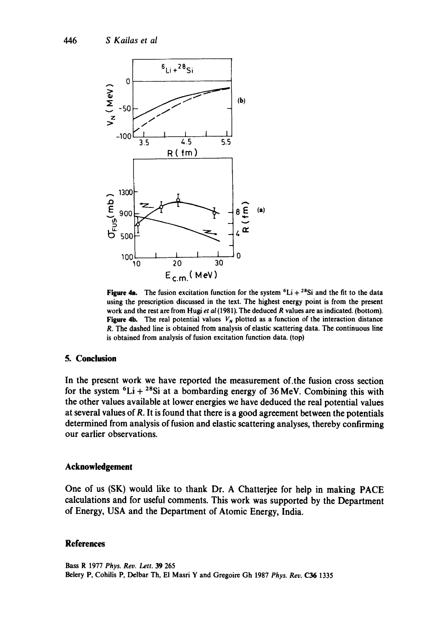

**Figure 4a.** The fusion excitation function for the system  ${}^{6}Li + {}^{28}Si$  and the fit to the data using the prescription discussed in the text. The highest energy point is from the present work and the rest are from Hugi *et al* (1981). The deduced R values are as indicated. (bottom). Figure 4b. The real potential values  $V_N$  plotted as a function of the interaction distance R. The dashed line is obtained from analysis of elastic scattering data. The continuous line is obtained from analysis of fusion excitation function data. (top)

## **5. Conclusion**

In the present work we have reported the measurement of.the fusion cross section for the system  ${}^{6}Li + {}^{28}Si$  at a bombarding energy of 36 MeV. Combining this with the other values available at lower energies we have deduced the real potential values at several values of R. It is found that there is a good agreement between the potentials determined from analysis of fusion and elastic scattering analyses, thereby confirming our earlier observations.

### **Acknowledgement**

One of us (SK) would like to thank Dr. A Chatterjee for help in making PACE calculations and for useful comments. This work was supported by the Department of Energy, USA and the Department of Atomic Energy, India.

### **References**